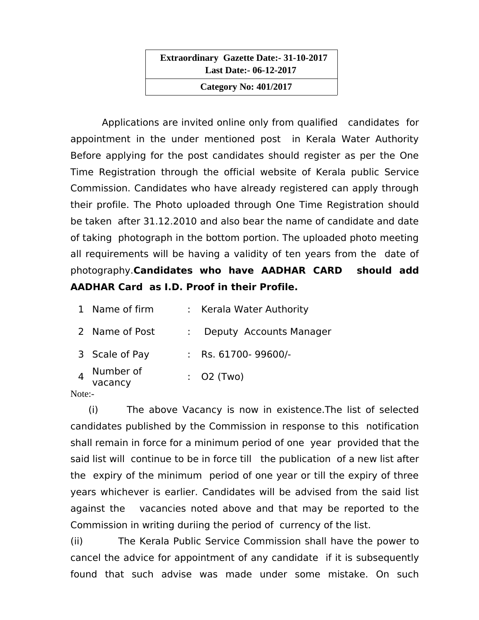**Extraordinary Gazette Date:- 31-10-2017 Last Date:- 06-12-2017**

 **Category No: 401/2017**

Applications are invited online only from qualified candidates for appointment in the under mentioned post in Kerala Water Authority Before applying for the post candidates should register as per the One Time Registration through the official website of Kerala public Service Commission. Candidates who have already registered can apply through their profile. The Photo uploaded through One Time Registration should be taken after 31.12.2010 and also bear the name of candidate and date of taking photograph in the bottom portion. The uploaded photo meeting all requirements will be having a validity of ten years from the date of photography.**Candidates who have AADHAR CARD should add AADHAR Card as I.D. Proof in their Profile.**

| 1 Name of firm       | : Kerala Water Authority |
|----------------------|--------------------------|
| 2 Name of Post       | Deputy Accounts Manager  |
| 3 Scale of Pay       | : Rs. $61700 - 99600$ /- |
| Number of<br>vacancy | $:$ O2 (Two)             |
|                      |                          |

## Note:-

 (i) The above Vacancy is now in existence.The list of selected candidates published by the Commission in response to this notification shall remain in force for a minimum period of one year provided that the said list will continue to be in force till the publication of a new list after the expiry of the minimum period of one year or till the expiry of three years whichever is earlier. Candidates will be advised from the said list against the vacancies noted above and that may be reported to the Commission in writing duriing the period of currency of the list.

(ii) The Kerala Public Service Commission shall have the power to cancel the advice for appointment of any candidate if it is subsequently found that such advise was made under some mistake. On such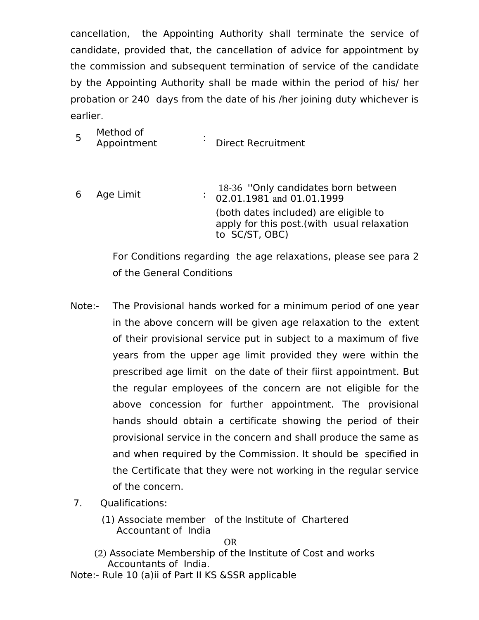cancellation, the Appointing Authority shall terminate the service of candidate, provided that, the cancellation of advice for appointment by the commission and subsequent termination of service of the candidate by the Appointing Authority shall be made within the period of his/ her probation or 240 days from the date of his /her joining duty whichever is earlier.

| Method of<br>Appointment | <b>Direct Recruitment</b> |
|--------------------------|---------------------------|
|                          |                           |

6 Age Limit : 18-36 "Only candidates born between 02.01.1981 and 01.01.1999 (both dates included) are eligible to apply for this post.(with usual relaxation to SC/ST, OBC)

> For Conditions regarding the age relaxations, please see para 2 of the General Conditions

- Note:- The Provisional hands worked for a minimum period of one year in the above concern will be given age relaxation to the extent of their provisional service put in subject to a maximum of five years from the upper age limit provided they were within the prescribed age limit on the date of their fiirst appointment. But the regular employees of the concern are not eligible for the above concession for further appointment. The provisional hands should obtain a certificate showing the period of their provisional service in the concern and shall produce the same as and when required by the Commission. It should be specified in the Certificate that they were not working in the regular service of the concern.
- 7. Qualifications:
	- (1) Associate member of the Institute of Chartered Accountant of India

**OR** Service Service Service Service Service Service Service Service Service Service Service Service Service Service Service Service Service Service Service Service Service Service Service Service Service Service Service S

- (2) Associate Membership of the Institute of Cost and works Accountants of India.
- Note:- Rule 10 (a)ii of Part II KS &SSR applicable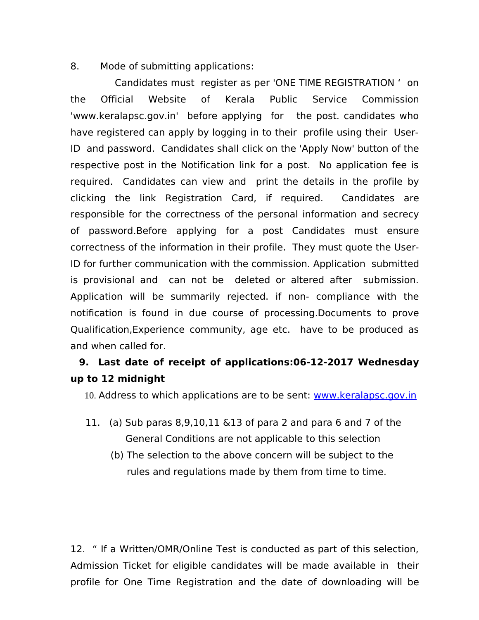8. Mode of submitting applications:

 Candidates must register as per 'ONE TIME REGISTRATION ' on the Official Website of Kerala Public Service Commission 'www.keralapsc.gov.in' before applying for the post. candidates who have registered can apply by logging in to their profile using their User-ID and password. Candidates shall click on the 'Apply Now' button of the respective post in the Notification link for a post. No application fee is required. Candidates can view and print the details in the profile by clicking the link Registration Card, if required. Candidates are responsible for the correctness of the personal information and secrecy of password.Before applying for a post Candidates must ensure correctness of the information in their profile. They must quote the User-ID for further communication with the commission. Application submitted is provisional and can not be deleted or altered after submission. Application will be summarily rejected. if non- compliance with the notification is found in due course of processing.Documents to prove Qualification,Experience community, age etc. have to be produced as and when called for.

## **9. Last date of receipt of applications:06-12-2017 Wednesday up to 12 midnight**

10. Address to which applications are to be sent: [www.keralapsc.gov.in](http://www.keralapsc.gov.in/)

- 11. (a) Sub paras 8,9,10,11 &13 of para 2 and para 6 and 7 of the General Conditions are not applicable to this selection
	- (b) The selection to the above concern will be subject to the rules and regulations made by them from time to time.

12. " If a Written/OMR/Online Test is conducted as part of this selection, Admission Ticket for eligible candidates will be made available in their profile for One Time Registration and the date of downloading will be